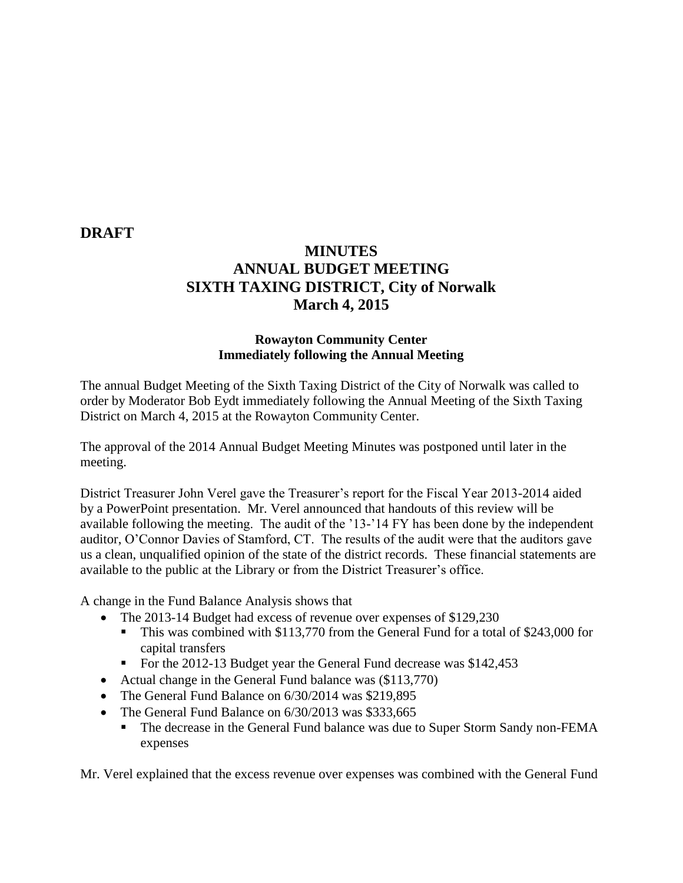### **DRAFT**

# **MINUTES ANNUAL BUDGET MEETING SIXTH TAXING DISTRICT, City of Norwalk March 4, 2015**

#### **Rowayton Community Center Immediately following the Annual Meeting**

The annual Budget Meeting of the Sixth Taxing District of the City of Norwalk was called to order by Moderator Bob Eydt immediately following the Annual Meeting of the Sixth Taxing District on March 4, 2015 at the Rowayton Community Center.

The approval of the 2014 Annual Budget Meeting Minutes was postponed until later in the meeting.

District Treasurer John Verel gave the Treasurer's report for the Fiscal Year 2013-2014 aided by a PowerPoint presentation. Mr. Verel announced that handouts of this review will be available following the meeting. The audit of the '13-'14 FY has been done by the independent auditor, O'Connor Davies of Stamford, CT. The results of the audit were that the auditors gave us a clean, unqualified opinion of the state of the district records. These financial statements are available to the public at the Library or from the District Treasurer's office.

A change in the Fund Balance Analysis shows that

- The 2013-14 Budget had excess of revenue over expenses of \$129,230
	- This was combined with \$113,770 from the General Fund for a total of \$243,000 for capital transfers
	- For the 2012-13 Budget year the General Fund decrease was \$142,453
- Actual change in the General Fund balance was (\$113,770)
- The General Fund Balance on 6/30/2014 was \$219,895
- The General Fund Balance on 6/30/2013 was \$333,665
	- The decrease in the General Fund balance was due to Super Storm Sandy non-FEMA expenses

Mr. Verel explained that the excess revenue over expenses was combined with the General Fund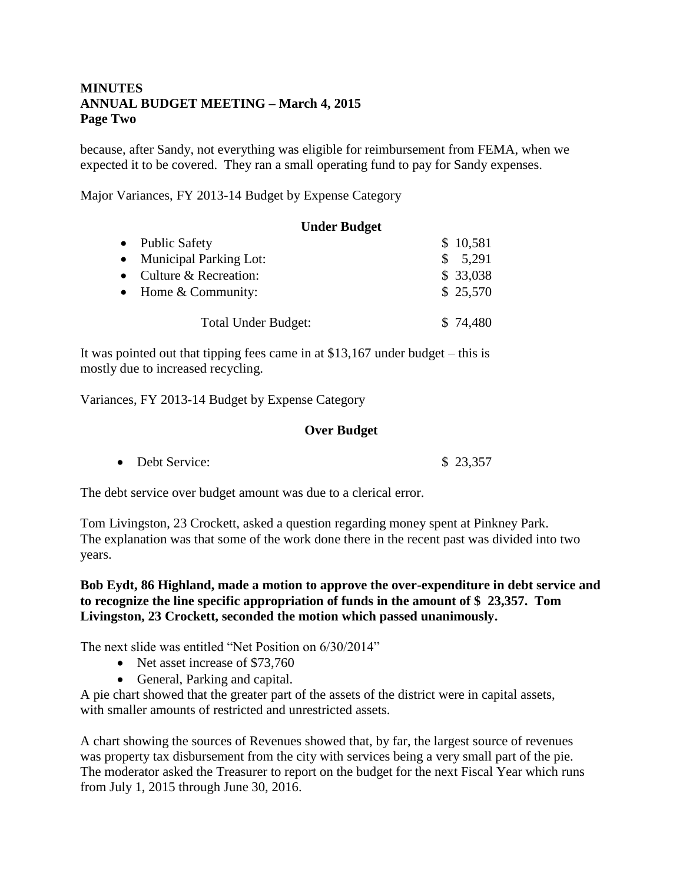### **MINUTES ANNUAL BUDGET MEETING – March 4, 2015 Page Two**

because, after Sandy, not everything was eligible for reimbursement from FEMA, when we expected it to be covered. They ran a small operating fund to pay for Sandy expenses.

Major Variances, FY 2013-14 Budget by Expense Category

|           | <b>Under Budget</b>           |              |
|-----------|-------------------------------|--------------|
|           | • Public Safety               | \$10,581     |
| $\bullet$ | <b>Municipal Parking Lot:</b> | 5,291<br>\$. |
| $\bullet$ | Culture & Recreation:         | \$33,038     |
| $\bullet$ | Home & Community:             | \$ 25,570    |
|           | <b>Total Under Budget:</b>    | \$74,480     |

It was pointed out that tipping fees came in at \$13,167 under budget – this is mostly due to increased recycling.

Variances, FY 2013-14 Budget by Expense Category

#### **Over Budget**

• Debt Service:  $$ 23.357$ 

The debt service over budget amount was due to a clerical error.

Tom Livingston, 23 Crockett, asked a question regarding money spent at Pinkney Park. The explanation was that some of the work done there in the recent past was divided into two years.

#### **Bob Eydt, 86 Highland, made a motion to approve the over-expenditure in debt service and to recognize the line specific appropriation of funds in the amount of \$ 23,357. Tom Livingston, 23 Crockett, seconded the motion which passed unanimously.**

The next slide was entitled "Net Position on 6/30/2014"

- Net asset increase of \$73,760
- General, Parking and capital.

A pie chart showed that the greater part of the assets of the district were in capital assets, with smaller amounts of restricted and unrestricted assets.

A chart showing the sources of Revenues showed that, by far, the largest source of revenues was property tax disbursement from the city with services being a very small part of the pie. The moderator asked the Treasurer to report on the budget for the next Fiscal Year which runs from July 1, 2015 through June 30, 2016.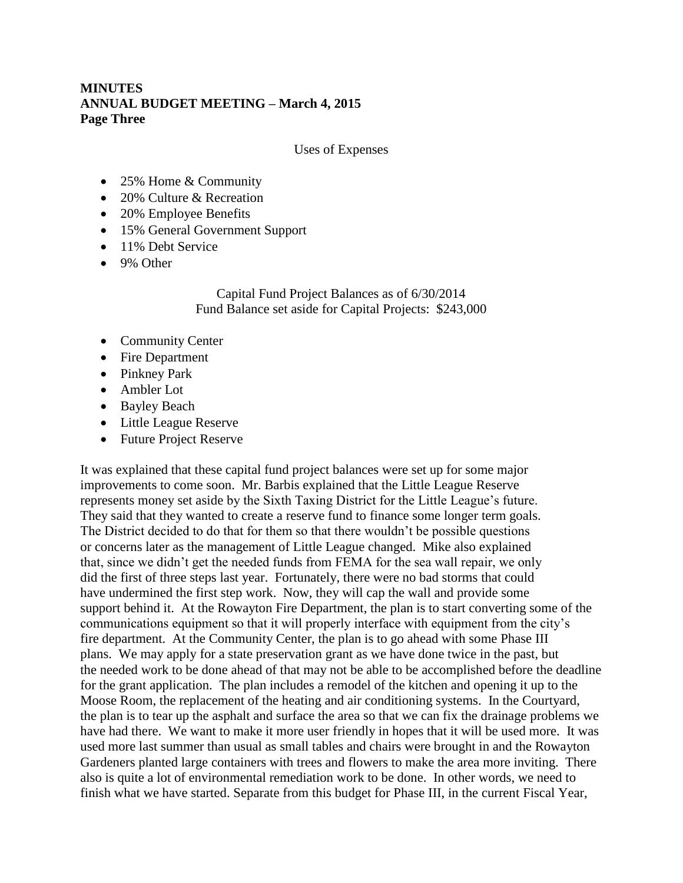## **MINUTES ANNUAL BUDGET MEETING – March 4, 2015 Page Three**

Uses of Expenses

- 25% Home & Community
- 20% Culture & Recreation
- 20% Employee Benefits
- 15% General Government Support
- 11% Debt Service
- 9% Other

Capital Fund Project Balances as of 6/30/2014 Fund Balance set aside for Capital Projects: \$243,000

- Community Center
- Fire Department
- Pinkney Park
- Ambler Lot
- Bayley Beach
- Little League Reserve
- Future Project Reserve

It was explained that these capital fund project balances were set up for some major improvements to come soon. Mr. Barbis explained that the Little League Reserve represents money set aside by the Sixth Taxing District for the Little League's future. They said that they wanted to create a reserve fund to finance some longer term goals. The District decided to do that for them so that there wouldn't be possible questions or concerns later as the management of Little League changed. Mike also explained that, since we didn't get the needed funds from FEMA for the sea wall repair, we only did the first of three steps last year. Fortunately, there were no bad storms that could have undermined the first step work. Now, they will cap the wall and provide some support behind it. At the Rowayton Fire Department, the plan is to start converting some of the communications equipment so that it will properly interface with equipment from the city's fire department. At the Community Center, the plan is to go ahead with some Phase III plans. We may apply for a state preservation grant as we have done twice in the past, but the needed work to be done ahead of that may not be able to be accomplished before the deadline for the grant application. The plan includes a remodel of the kitchen and opening it up to the Moose Room, the replacement of the heating and air conditioning systems. In the Courtyard, the plan is to tear up the asphalt and surface the area so that we can fix the drainage problems we have had there. We want to make it more user friendly in hopes that it will be used more. It was used more last summer than usual as small tables and chairs were brought in and the Rowayton Gardeners planted large containers with trees and flowers to make the area more inviting. There also is quite a lot of environmental remediation work to be done. In other words, we need to finish what we have started. Separate from this budget for Phase III, in the current Fiscal Year,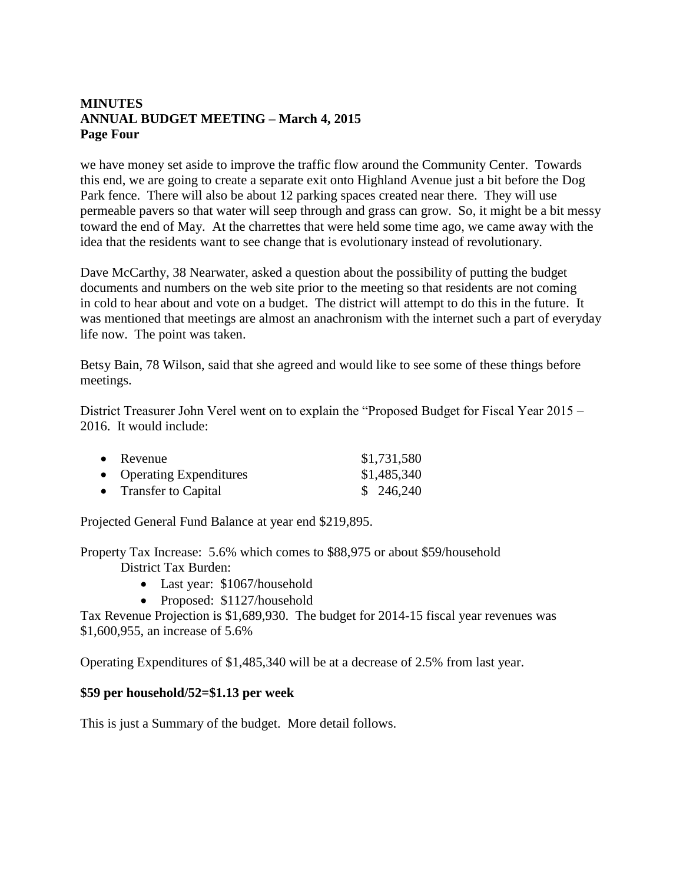## **MINUTES ANNUAL BUDGET MEETING – March 4, 2015 Page Four**

we have money set aside to improve the traffic flow around the Community Center. Towards this end, we are going to create a separate exit onto Highland Avenue just a bit before the Dog Park fence. There will also be about 12 parking spaces created near there. They will use permeable pavers so that water will seep through and grass can grow. So, it might be a bit messy toward the end of May. At the charrettes that were held some time ago, we came away with the idea that the residents want to see change that is evolutionary instead of revolutionary.

Dave McCarthy, 38 Nearwater, asked a question about the possibility of putting the budget documents and numbers on the web site prior to the meeting so that residents are not coming in cold to hear about and vote on a budget. The district will attempt to do this in the future. It was mentioned that meetings are almost an anachronism with the internet such a part of everyday life now. The point was taken.

Betsy Bain, 78 Wilson, said that she agreed and would like to see some of these things before meetings.

District Treasurer John Verel went on to explain the "Proposed Budget for Fiscal Year 2015 – 2016. It would include:

| $\bullet$ Revenue        | \$1,731,580 |
|--------------------------|-------------|
| • Operating Expenditures | \$1,485,340 |
| • Transfer to Capital    | \$246,240   |

Projected General Fund Balance at year end \$219,895.

Property Tax Increase: 5.6% which comes to \$88,975 or about \$59/household District Tax Burden:

- Last year: \$1067/household
- Proposed: \$1127/household

Tax Revenue Projection is \$1,689,930. The budget for 2014-15 fiscal year revenues was \$1,600,955, an increase of 5.6%

Operating Expenditures of \$1,485,340 will be at a decrease of 2.5% from last year.

#### **\$59 per household/52=\$1.13 per week**

This is just a Summary of the budget. More detail follows.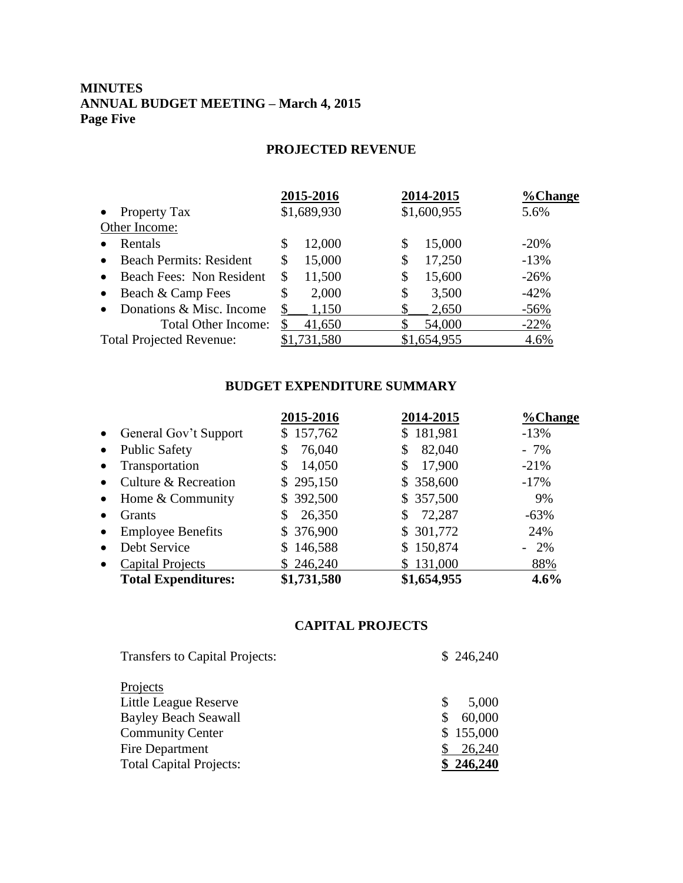# **MINUTES ANNUAL BUDGET MEETING – March 4, 2015 Page Five**

# **PROJECTED REVENUE**

|                                             | 2015-2016    | 2014-2015    | %Change |
|---------------------------------------------|--------------|--------------|---------|
| <b>Property Tax</b><br>$\bullet$            | \$1,689,930  | \$1,600,955  | 5.6%    |
| Other Income:                               |              |              |         |
| Rentals<br>$\bullet$                        | 12,000<br>\$ | 15,000<br>\$ | $-20\%$ |
| <b>Beach Permits: Resident</b><br>$\bullet$ | 15,000<br>\$ | 17,250<br>\$ | $-13%$  |
| Beach Fees: Non Resident<br>$\bullet$       | 11,500<br>\$ | 15,600<br>\$ | $-26%$  |
| Beach & Camp Fees<br>$\bullet$              | 2,000<br>\$  | 3,500<br>\$  | $-42%$  |
| Donations & Misc. Income<br>$\bullet$       | \$<br>1,150  | 2,650        | $-56%$  |
| Total Other Income:                         | 41,650       | 54,000       | $-22%$  |
| <b>Total Projected Revenue:</b>             | \$1,731,580  | \$1,654,955  | 4.6%    |

## **BUDGET EXPENDITURE SUMMARY**

| 2015-2016    | 2014-2015    | %Change |
|--------------|--------------|---------|
| \$157,762    | \$181,981    | $-13%$  |
| 76,040<br>\$ | 82,040<br>\$ | $-7\%$  |
| 14,050<br>S  | 17,900<br>\$ | $-21%$  |
| \$295,150    | \$358,600    | $-17%$  |
| \$392,500    | \$357,500    | 9%      |
| 26,350       | 72,287<br>\$ | $-63%$  |
| \$ 376,900   | \$ 301,772   | 24%     |
| \$146,588    | \$150,874    | $-2\%$  |
| \$246,240    | \$131,000    | 88%     |
| \$1,731,580  | \$1,654,955  | 4.6%    |
|              |              |         |

# **CAPITAL PROJECTS**

| <b>Transfers to Capital Projects:</b> | \$246,240 |
|---------------------------------------|-----------|
| Projects                              |           |
| Little League Reserve                 | 5,000     |
| <b>Bayley Beach Seawall</b>           | 60,000    |
| <b>Community Center</b>               | \$155,000 |
| Fire Department                       | 26,240    |
| <b>Total Capital Projects:</b>        | \$246,240 |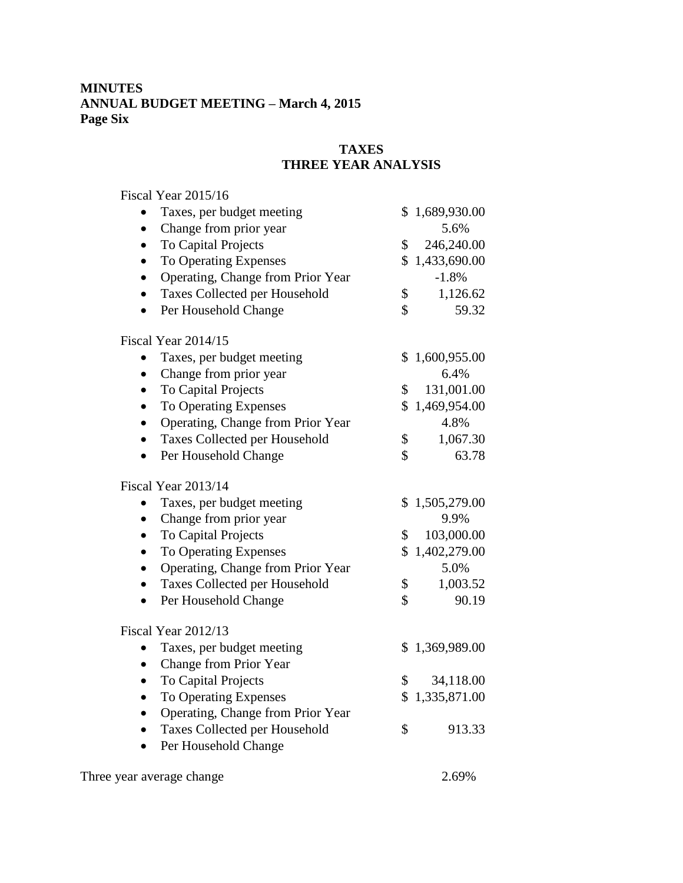# **MINUTES ANNUAL BUDGET MEETING – March 4, 2015 Page Six**

# **TAXES THREE YEAR ANALYSIS**

| Fiscal Year 2015/16                            |              |                |
|------------------------------------------------|--------------|----------------|
| Taxes, per budget meeting                      |              | \$1,689,930.00 |
| Change from prior year<br>$\bullet$            |              | 5.6%           |
| To Capital Projects                            | \$           | 246,240.00     |
| To Operating Expenses<br>$\bullet$             | $\mathbb{S}$ | 1,433,690.00   |
| Operating, Change from Prior Year              |              | $-1.8%$        |
| Taxes Collected per Household                  | \$           | 1,126.62       |
| Per Household Change<br>$\bullet$              | \$           | 59.32          |
| Fiscal Year 2014/15                            |              |                |
| Taxes, per budget meeting                      |              | \$1,600,955.00 |
| Change from prior year<br>$\bullet$            |              | 6.4%           |
| To Capital Projects<br>$\bullet$               | \$           | 131,001.00     |
| To Operating Expenses<br>$\bullet$             | \$           | 1,469,954.00   |
| Operating, Change from Prior Year<br>$\bullet$ |              | 4.8%           |
| Taxes Collected per Household                  | \$           | 1,067.30       |
| Per Household Change<br>$\bullet$              | \$           | 63.78          |
| Fiscal Year 2013/14                            |              |                |
| Taxes, per budget meeting                      |              | \$1,505,279.00 |
| Change from prior year                         |              | 9.9%           |
| To Capital Projects<br>$\bullet$               | \$           | 103,000.00     |
| To Operating Expenses                          | \$           | 1,402,279.00   |
| Operating, Change from Prior Year<br>$\bullet$ |              | 5.0%           |
| Taxes Collected per Household<br>$\bullet$     | \$           | 1,003.52       |
| Per Household Change<br>$\bullet$              | \$           | 90.19          |
| Fiscal Year 2012/13                            |              |                |
| Taxes, per budget meeting                      |              | \$1,369,989.00 |
| Change from Prior Year<br>$\bullet$            |              |                |
| To Capital Projects                            | \$           | 34,118.00      |
| To Operating Expenses                          |              | \$1,335,871.00 |
| Operating, Change from Prior Year              |              |                |
| Taxes Collected per Household                  | \$           | 913.33         |
| Per Household Change                           |              |                |
| Three year average change                      |              | 2.69%          |
|                                                |              |                |